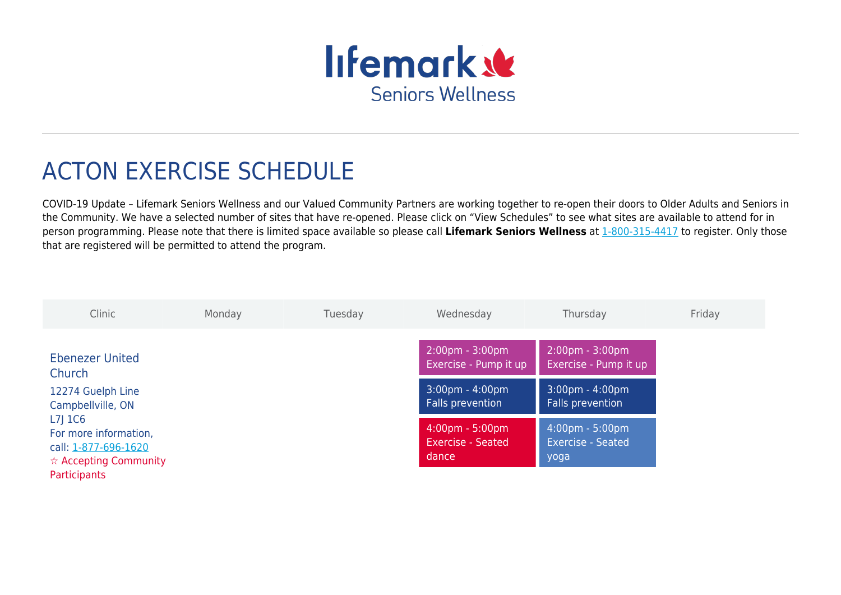

## ACTON EXERCISE SCHEDULE

COVID-19 Update – Lifemark Seniors Wellness and our Valued Community Partners are working together to re-open their doors to Older Adults and Seniors in the Community. We have a selected number of sites that have re-opened. Please click on "View Schedules" to see what sites are available to attend for in person programming. Please note that there is limited space available so please call **Lifemark Seniors Wellness** at [1-800-315-4417](#page--1-0) to register. Only those that are registered will be permitted to attend the program.

| Clinic                                                                                                                                                                       | Monday | Tuesday | Wednesday                                                              | Thursday                                                   | Friday |
|------------------------------------------------------------------------------------------------------------------------------------------------------------------------------|--------|---------|------------------------------------------------------------------------|------------------------------------------------------------|--------|
| <b>Ebenezer United</b><br>Church<br>12274 Guelph Line<br>Campbellville, ON<br>$L7$ ] $1C6$<br>For more information,<br>call: 1-877-696-1620<br>$\hat{x}$ Accepting Community |        |         | $2:00 \text{pm} - 3:00 \text{pm}$<br>Exercise - Pump it up             | $2:00 \text{pm} - 3:00 \text{pm}$<br>Exercise - Pump it up |        |
|                                                                                                                                                                              |        |         | $3:00 \text{pm} - 4:00 \text{pm}$<br>Falls prevention                  | $3:00 \text{pm} - 4:00 \text{pm}$<br>Falls prevention      |        |
|                                                                                                                                                                              |        |         | $4:00 \text{pm} - 5:00 \text{pm}$<br><b>Exercise - Seated</b><br>dance | 4:00pm - 5:00pm<br><b>Exercise - Seated</b><br>yoga        |        |
| Participants                                                                                                                                                                 |        |         |                                                                        |                                                            |        |